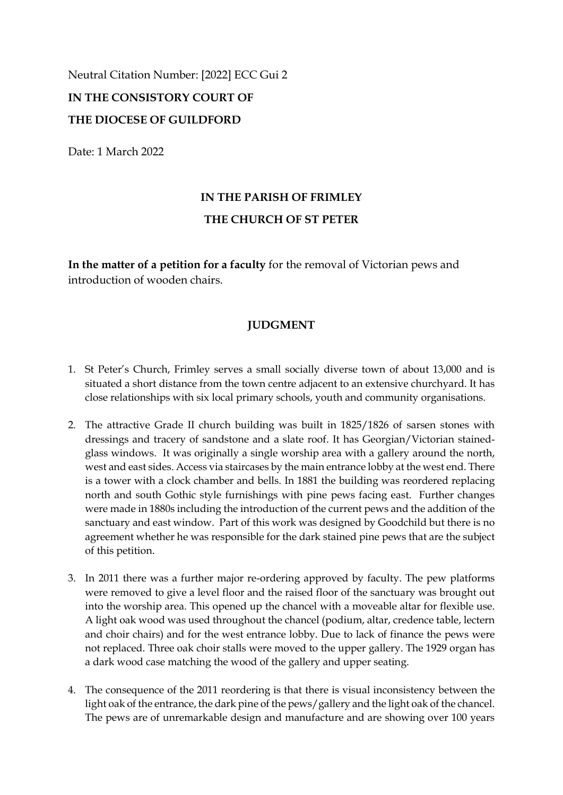Neutral Citation Number: [2022] ECC Gui 2

## **IN THE CONSISTORY COURT OF THE DIOCESE OF GUILDFORD**

Date: 1 March 2022

## **IN THE PARISH OF FRIMLEY THE CHURCH OF ST PETER**

**In the matter of a petition for a faculty** for the removal of Victorian pews and introduction of wooden chairs.

## **JUDGMENT**

- 1. St Peter's Church, Frimley serves a small socially diverse town of about 13,000 and is situated a short distance from the town centre adjacent to an extensive churchyard. It has close relationships with six local primary schools, youth and community organisations.
- 2. The attractive Grade II church building was built in 1825/1826 of sarsen stones with dressings and tracery of sandstone and a slate roof. It has Georgian/Victorian stainedglass windows. It was originally a single worship area with a gallery around the north, west and east sides. Access via staircases by the main entrance lobby at the west end. There is a tower with a clock chamber and bells. In 1881 the building was reordered replacing north and south Gothic style furnishings with pine pews facing east. Further changes were made in 1880s including the introduction of the current pews and the addition of the sanctuary and east window. Part of this work was designed by Goodchild but there is no agreement whether he was responsible for the dark stained pine pews that are the subject of this petition.
- 3. In 2011 there was a further major re-ordering approved by faculty. The pew platforms were removed to give a level floor and the raised floor of the sanctuary was brought out into the worship area. This opened up the chancel with a moveable altar for flexible use. A light oak wood was used throughout the chancel (podium, altar, credence table, lectern and choir chairs) and for the west entrance lobby. Due to lack of finance the pews were not replaced. Three oak choir stalls were moved to the upper gallery. The 1929 organ has a dark wood case matching the wood of the gallery and upper seating.
- 4. The consequence of the 2011 reordering is that there is visual inconsistency between the light oak of the entrance, the dark pine of the pews/gallery and the light oak of the chancel. The pews are of unremarkable design and manufacture and are showing over 100 years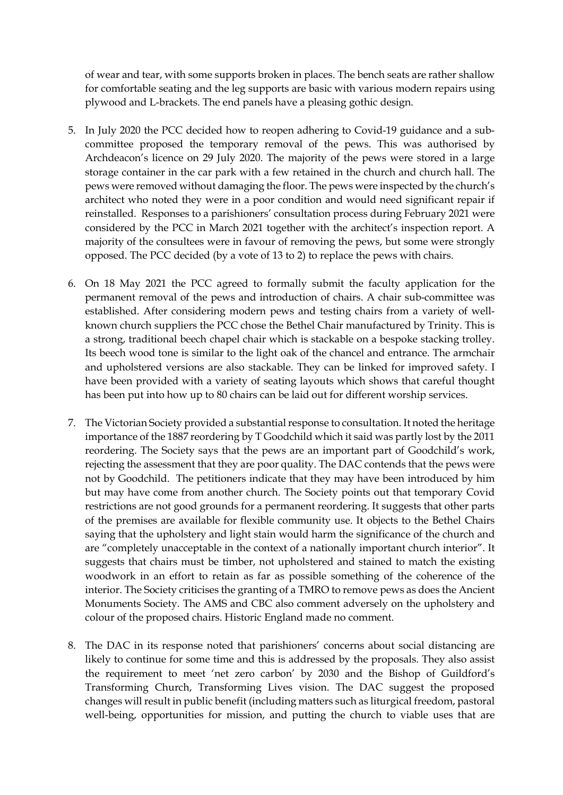of wear and tear, with some supports broken in places. The bench seats are rather shallow for comfortable seating and the leg supports are basic with various modern repairs using plywood and L-brackets. The end panels have a pleasing gothic design.

- 5. In July 2020 the PCC decided how to reopen adhering to Covid-19 guidance and a subcommittee proposed the temporary removal of the pews. This was authorised by Archdeacon's licence on 29 July 2020. The majority of the pews were stored in a large storage container in the car park with a few retained in the church and church hall. The pews were removed without damaging the floor. The pews were inspected by the church's architect who noted they were in a poor condition and would need significant repair if reinstalled. Responses to a parishioners' consultation process during February 2021 were considered by the PCC in March 2021 together with the architect's inspection report. A majority of the consultees were in favour of removing the pews, but some were strongly opposed. The PCC decided (by a vote of 13 to 2) to replace the pews with chairs.
- 6. On 18 May 2021 the PCC agreed to formally submit the faculty application for the permanent removal of the pews and introduction of chairs. A chair sub-committee was established. After considering modern pews and testing chairs from a variety of wellknown church suppliers the PCC chose the Bethel Chair manufactured by Trinity. This is a strong, traditional beech chapel chair which is stackable on a bespoke stacking trolley. Its beech wood tone is similar to the light oak of the chancel and entrance. The armchair and upholstered versions are also stackable. They can be linked for improved safety. I have been provided with a variety of seating layouts which shows that careful thought has been put into how up to 80 chairs can be laid out for different worship services.
- 7. The Victorian Society provided a substantial response to consultation. It noted the heritage importance of the 1887 reordering by T Goodchild which it said was partly lost by the 2011 reordering. The Society says that the pews are an important part of Goodchild's work, rejecting the assessment that they are poor quality. The DAC contends that the pews were not by Goodchild. The petitioners indicate that they may have been introduced by him but may have come from another church. The Society points out that temporary Covid restrictions are not good grounds for a permanent reordering. It suggests that other parts of the premises are available for flexible community use. It objects to the Bethel Chairs saying that the upholstery and light stain would harm the significance of the church and are "completely unacceptable in the context of a nationally important church interior". It suggests that chairs must be timber, not upholstered and stained to match the existing woodwork in an effort to retain as far as possible something of the coherence of the interior. The Society criticises the granting of a TMRO to remove pews as does the Ancient Monuments Society. The AMS and CBC also comment adversely on the upholstery and colour of the proposed chairs. Historic England made no comment.
- 8. The DAC in its response noted that parishioners' concerns about social distancing are likely to continue for some time and this is addressed by the proposals. They also assist the requirement to meet 'net zero carbon' by 2030 and the Bishop of Guildford's Transforming Church, Transforming Lives vision. The DAC suggest the proposed changes will result in public benefit (including matters such as liturgical freedom, pastoral well-being, opportunities for mission, and putting the church to viable uses that are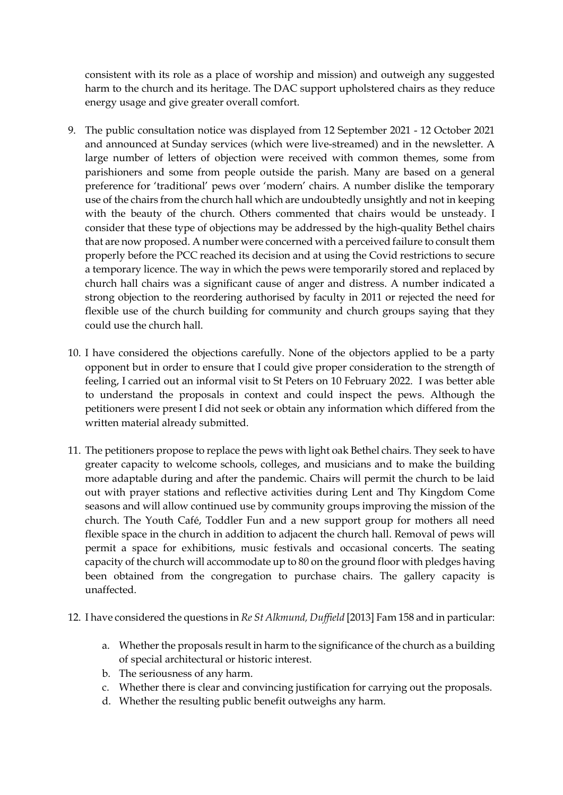consistent with its role as a place of worship and mission) and outweigh any suggested harm to the church and its heritage. The DAC support upholstered chairs as they reduce energy usage and give greater overall comfort.

- 9. The public consultation notice was displayed from 12 September 2021 12 October 2021 and announced at Sunday services (which were live-streamed) and in the newsletter. A large number of letters of objection were received with common themes, some from parishioners and some from people outside the parish. Many are based on a general preference for 'traditional' pews over 'modern' chairs. A number dislike the temporary use of the chairs from the church hall which are undoubtedly unsightly and not in keeping with the beauty of the church. Others commented that chairs would be unsteady. I consider that these type of objections may be addressed by the high-quality Bethel chairs that are now proposed. A number were concerned with a perceived failure to consult them properly before the PCC reached its decision and at using the Covid restrictions to secure a temporary licence. The way in which the pews were temporarily stored and replaced by church hall chairs was a significant cause of anger and distress. A number indicated a strong objection to the reordering authorised by faculty in 2011 or rejected the need for flexible use of the church building for community and church groups saying that they could use the church hall.
- 10. I have considered the objections carefully. None of the objectors applied to be a party opponent but in order to ensure that I could give proper consideration to the strength of feeling, I carried out an informal visit to St Peters on 10 February 2022. I was better able to understand the proposals in context and could inspect the pews. Although the petitioners were present I did not seek or obtain any information which differed from the written material already submitted.
- 11. The petitioners propose to replace the pews with light oak Bethel chairs. They seek to have greater capacity to welcome schools, colleges, and musicians and to make the building more adaptable during and after the pandemic. Chairs will permit the church to be laid out with prayer stations and reflective activities during Lent and Thy Kingdom Come seasons and will allow continued use by community groups improving the mission of the church. The Youth Café, Toddler Fun and a new support group for mothers all need flexible space in the church in addition to adjacent the church hall. Removal of pews will permit a space for exhibitions, music festivals and occasional concerts. The seating capacity of the church will accommodate up to 80 on the ground floor with pledges having been obtained from the congregation to purchase chairs. The gallery capacity is unaffected.
- 12. I have considered the questions in *Re St Alkmund, Duffield* [2013] Fam 158 and in particular:
	- a. Whether the proposals result in harm to the significance of the church as a building of special architectural or historic interest.
	- b. The seriousness of any harm.
	- c. Whether there is clear and convincing justification for carrying out the proposals.
	- d. Whether the resulting public benefit outweighs any harm.